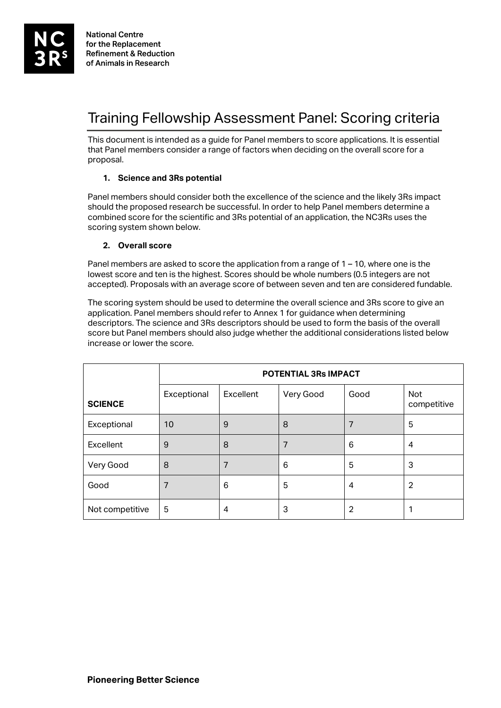# Training Fellowship Assessment Panel: Scoring criteria

This document is intended as a guide for Panel members to score applications. It is essential that Panel members consider a range of factors when deciding on the overall score for a proposal.

### **1. Science and 3Rs potential**

Panel members should consider both the excellence of the science and the likely 3Rs impact should the proposed research be successful. In order to help Panel members determine a combined score for the scientific and 3Rs potential of an application, the NC3Rs uses the scoring system shown below.

### **2. Overall score**

Panel members are asked to score the application from a range of  $1 - 10$ , where one is the lowest score and ten is the highest. Scores should be whole numbers (0.5 integers are not accepted). Proposals with an average score of between seven and ten are considered fundable.

The scoring system should be used to determine the overall science and 3Rs score to give an application. Panel members should refer to Annex 1 for guidance when determining descriptors. The science and 3Rs descriptors should be used to form the basis of the overall score but Panel members should also judge whether the additional considerations listed below increase or lower the score.

|                 | <b>POTENTIAL 3Rs IMPACT</b> |           |           |                |                    |
|-----------------|-----------------------------|-----------|-----------|----------------|--------------------|
| <b>SCIENCE</b>  | Exceptional                 | Excellent | Very Good | Good           | Not<br>competitive |
| Exceptional     | 10                          | 9         | 8         |                | 5                  |
| Excellent       | 9                           | 8         | 7         | 6              | 4                  |
| Very Good       | 8                           | 7         | 6         | 5              | 3                  |
| Good            | 7                           | 6         | 5         | $\overline{4}$ | $\overline{2}$     |
| Not competitive | 5                           | 4         | 3         | 2              |                    |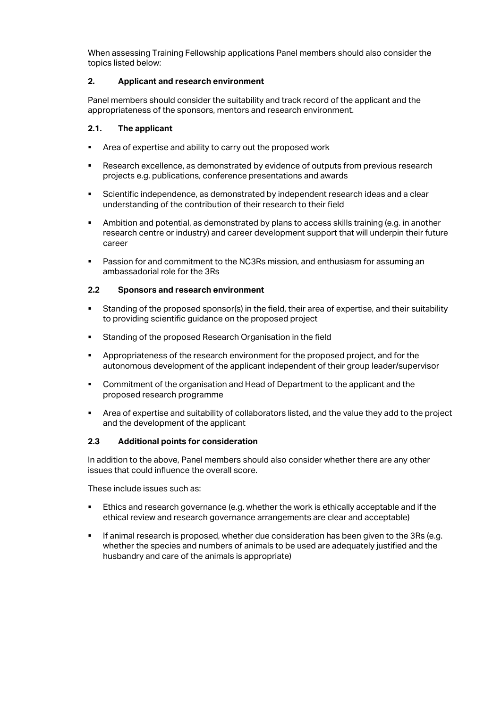When assessing Training Fellowship applications Panel members should also consider the topics listed below:

## **2. Applicant and research environment**

Panel members should consider the suitability and track record of the applicant and the appropriateness of the sponsors, mentors and research environment.

#### **2.1. The applicant**

- Area of expertise and ability to carry out the proposed work
- Research excellence, as demonstrated by evidence of outputs from previous research projects e.g. publications, conference presentations and awards
- Scientific independence, as demonstrated by independent research ideas and a clear understanding of the contribution of their research to their field
- Ambition and potential, as demonstrated by plans to access skills training (e.g. in another research centre or industry) and career development support that will underpin their future career
- Passion for and commitment to the NC3Rs mission, and enthusiasm for assuming an ambassadorial role for the 3Rs

### **2.2 Sponsors and research environment**

- Standing of the proposed sponsor(s) in the field, their area of expertise, and their suitability to providing scientific guidance on the proposed project
- **Standing of the proposed Research Organisation in the field**
- Appropriateness of the research environment for the proposed project, and for the autonomous development of the applicant independent of their group leader/supervisor
- Commitment of the organisation and Head of Department to the applicant and the proposed research programme
- Area of expertise and suitability of collaborators listed, and the value they add to the project and the development of the applicant

#### **2.3 Additional points for consideration**

In addition to the above, Panel members should also consider whether there are any other issues that could influence the overall score.

These include issues such as:

- Ethics and research governance (e.g. whether the work is ethically acceptable and if the ethical review and research governance arrangements are clear and acceptable)
- If animal research is proposed, whether due consideration has been given to the 3Rs (e.g. whether the species and numbers of animals to be used are adequately justified and the husbandry and care of the animals is appropriate)